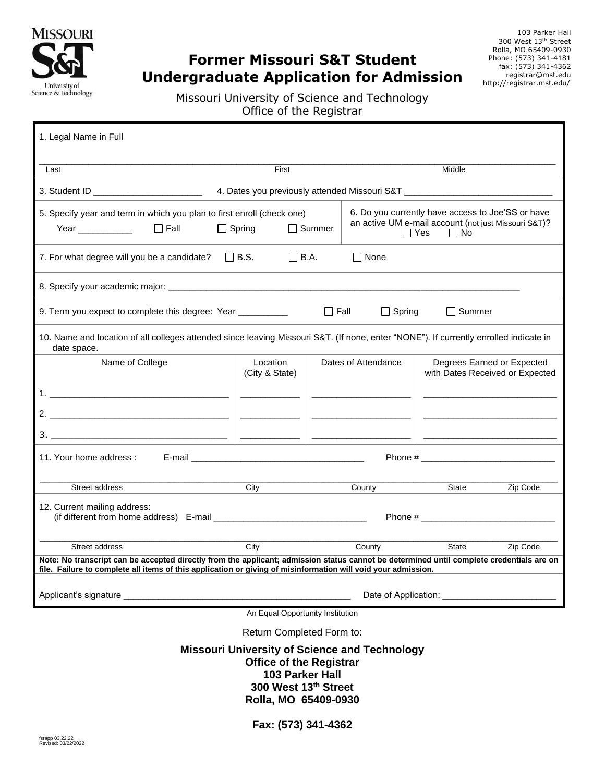

## **Former Missouri S&T Student Undergraduate Application for Admission**

103 Parker Hall 300 West 13th Street Rolla, MO 65409-0930 Phone: (573) 341-4181 fax: (573) 341-4362 registrar@mst.edu http://registrar.mst.edu/

Missouri University of Science and Technology Office of the Registrar

| 1. Legal Name in Full                                                                                                                                                                                                                                     |                                         |                     |                                                                                                                                      |                                                               |          |
|-----------------------------------------------------------------------------------------------------------------------------------------------------------------------------------------------------------------------------------------------------------|-----------------------------------------|---------------------|--------------------------------------------------------------------------------------------------------------------------------------|---------------------------------------------------------------|----------|
| Last                                                                                                                                                                                                                                                      | First                                   |                     | Middle                                                                                                                               |                                                               |          |
|                                                                                                                                                                                                                                                           |                                         |                     |                                                                                                                                      |                                                               |          |
| 5. Specify year and term in which you plan to first enroll (check one)<br>$\Box$ Fall<br>Year ____________                                                                                                                                                | $\Box$ Spring                           | $\Box$ Summer       | 6. Do you currently have access to Joe'SS or have<br>an active UM e-mail account (not just Missouri S&T)?<br>$\Box$ No<br>$\Box$ Yes |                                                               |          |
| 7. For what degree will you be a candidate? $\Box$ B.S.                                                                                                                                                                                                   | $\Box$ B.A.                             |                     | $\Box$ None                                                                                                                          |                                                               |          |
|                                                                                                                                                                                                                                                           |                                         |                     |                                                                                                                                      |                                                               |          |
| 9. Term you expect to complete this degree: Year __________<br>$\Box$ Fall<br>$\Box$ Spring<br>$\Box$ Summer                                                                                                                                              |                                         |                     |                                                                                                                                      |                                                               |          |
| 10. Name and location of all colleges attended since leaving Missouri S&T. (If none, enter "NONE"). If currently enrolled indicate in<br>date space.                                                                                                      |                                         |                     |                                                                                                                                      |                                                               |          |
| Name of College                                                                                                                                                                                                                                           | Location<br>(City & State)              | Dates of Attendance |                                                                                                                                      | Degrees Earned or Expected<br>with Dates Received or Expected |          |
| 2. $\overline{\phantom{a}}$                                                                                                                                                                                                                               |                                         |                     |                                                                                                                                      |                                                               |          |
| 11. Your home address:                                                                                                                                                                                                                                    |                                         |                     |                                                                                                                                      |                                                               |          |
|                                                                                                                                                                                                                                                           |                                         |                     |                                                                                                                                      |                                                               |          |
| Street address                                                                                                                                                                                                                                            | City                                    |                     | County                                                                                                                               | State                                                         | Zip Code |
| 12. Current mailing address:                                                                                                                                                                                                                              | Phone #                                 |                     |                                                                                                                                      |                                                               |          |
| Street address                                                                                                                                                                                                                                            | City                                    |                     | County                                                                                                                               | State                                                         | Zip Code |
| Note: No transcript can be accepted directly from the applicant; admission status cannot be determined until complete credentials are on<br>file. Failure to complete all items of this application or giving of misinformation will void your admission. |                                         |                     |                                                                                                                                      |                                                               |          |
| Applicant's signature that the control of the control of the control of the control of the control of the control of the control of the control of the control of the control of the control of the control of the control of                             | Date of Application: <u>contract of</u> |                     |                                                                                                                                      |                                                               |          |
| An Equal Opportunity Institution                                                                                                                                                                                                                          |                                         |                     |                                                                                                                                      |                                                               |          |

Return Completed Form to:

**Missouri University of Science and Technology Office of the Registrar 103 Parker Hall 300 West 13th Street Rolla, MO 65409-0930**

**Fax: (573) 341-4362**